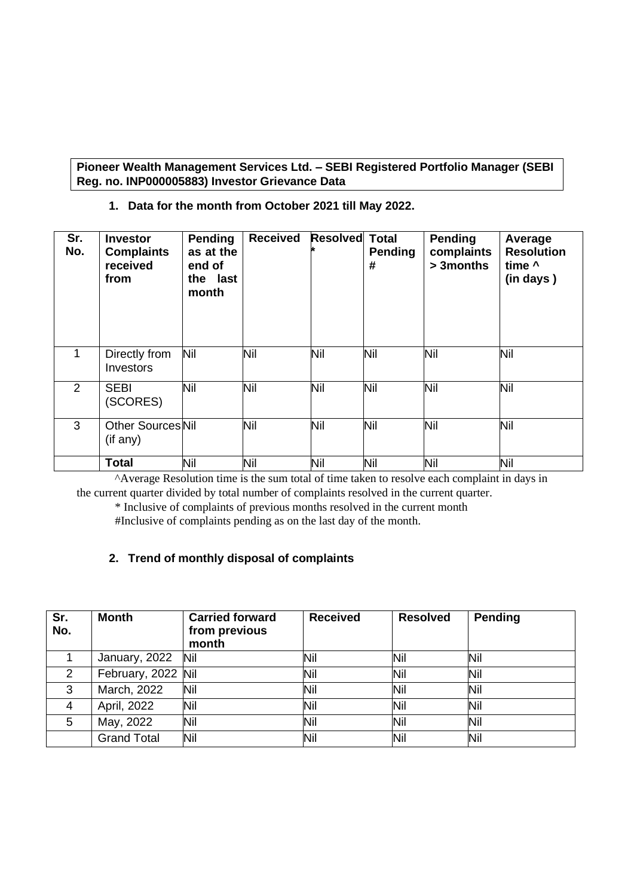**Pioneer Wealth Management Services Ltd. – SEBI Registered Portfolio Manager (SEBI Reg. no. INP000005883) Investor Grievance Data**

**1. Data for the month from October 2021 till May 2022.**

| Sr.<br>No. | <b>Investor</b><br><b>Complaints</b><br>received<br>from | <b>Pending</b><br>as at the<br>end of<br>the last<br>month | <b>Received</b> | <b>Resolved</b> | <b>Total</b><br><b>Pending</b><br># | Pending<br>complaints<br>> 3months | Average<br><b>Resolution</b><br>time ^<br>(in days) |
|------------|----------------------------------------------------------|------------------------------------------------------------|-----------------|-----------------|-------------------------------------|------------------------------------|-----------------------------------------------------|
| 1          | Directly from<br>Investors                               | Nil                                                        | Nil             | Nil             | Nil                                 | Nil                                | Nil                                                 |
| 2          | <b>SEBI</b><br>(SCORES)                                  | Nil                                                        | Nil             | Nil             | Nil                                 | Nil                                | Nil                                                 |
| 3          | <b>Other Sources Nil</b><br>(if any)                     |                                                            | Nil             | Nil             | Nil                                 | Nil                                | Nil                                                 |
|            | <b>Total</b>                                             | Nil                                                        | Nil             | Nil             | Nil                                 | Nil                                | Nil                                                 |

 ^Average Resolution time is the sum total of time taken to resolve each complaint in days in the current quarter divided by total number of complaints resolved in the current quarter.

\* Inclusive of complaints of previous months resolved in the current month

#Inclusive of complaints pending as on the last day of the month.

## **2. Trend of monthly disposal of complaints**

| Sr.<br>No.    | <b>Month</b>       | <b>Carried forward</b><br>from previous<br>month | <b>Received</b> | <b>Resolved</b> | Pending |
|---------------|--------------------|--------------------------------------------------|-----------------|-----------------|---------|
|               | January, 2022      | Nil                                              | Nil             | Nil             | Nil     |
| $\mathcal{P}$ | February, 2022 Nil |                                                  | Nil             | Nil             | Nil     |
| 3             | March, 2022        | Nil                                              | Nil             | Nil             | Nil     |
| 4             | April, 2022        | Nil                                              | Nil             | Nil             | Nil     |
| 5             | May, 2022          | Nil                                              | Nil             | Nil             | Nil     |
|               | <b>Grand Total</b> | Nil                                              | Nil             | Nil             | Nil     |